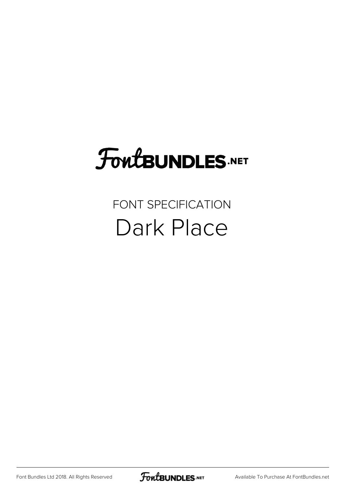# FoutBUNDLES.NET

## FONT SPECIFICATION Dark Place

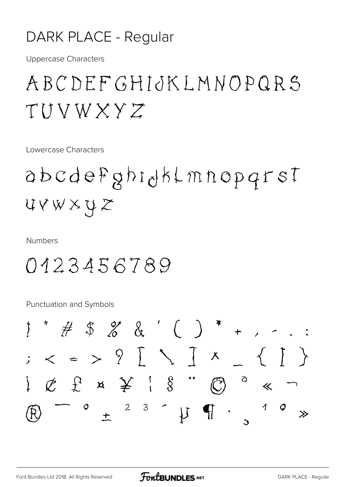#### DARK PLACE - Regular

**Uppercase Characters** 

## ABCDEFGHIJKLMNOPQRS TUVWXYZ

Lowercase Characters

abcdefghidklmnopqrst UVWXYZ

**Numbers** 

## 0123456789

**Punctuation and Symbols** 

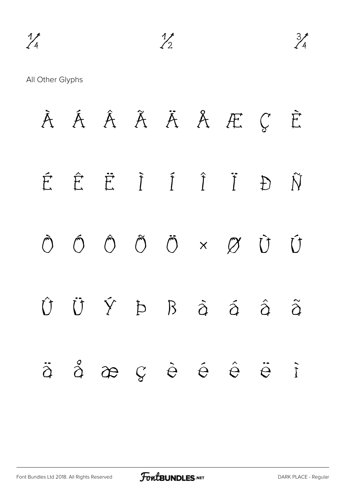All Other Glyphs

À Á Â Ã Ä Å Æ Ç È É Ê Ë Ì Í Î Ï Ð Ñ Ò Ó Ô Õ Ö × Ø Ù Ú Û Ü Ý Þ ß à á â ã ä å æ ç è é ê ë ì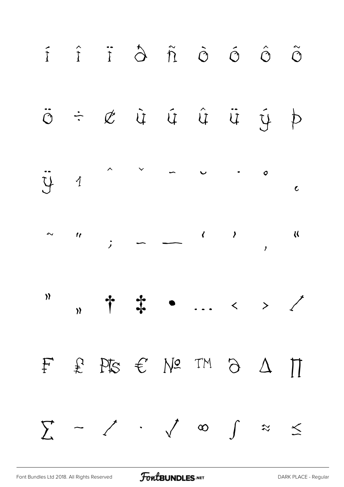

[Font Bundles Ltd 2018. All Rights Reserved](https://fontbundles.net/) **FoutBUNDLES.NET** STATES AND THE [DARK PLACE - Regular](https://fontbundles.net/)